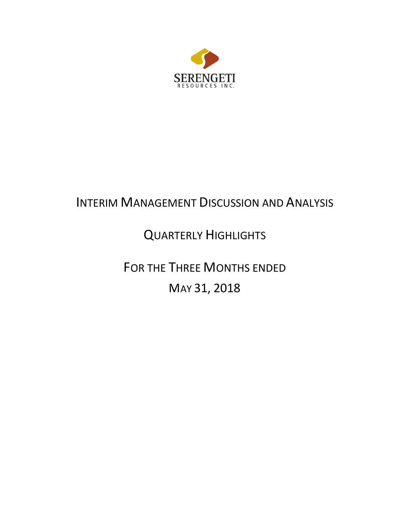

# INTERIM MANAGEMENT DISCUSSION AND ANALYSIS

# QUARTERLY HIGHLIGHTS

FOR THE THREE MONTHS ENDED MAY 31, 2018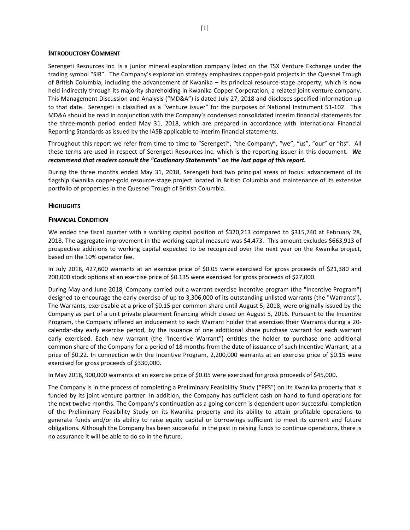#### **INTRODUCTORY COMMENT**

Serengeti Resources Inc. is a junior mineral exploration company listed on the TSX Venture Exchange under the trading symbol "SIR". The Company's exploration strategy emphasizes copper-gold projects in the Quesnel Trough of British Columbia, including the advancement of Kwanika – its principal resource-stage property, which is now held indirectly through its majority shareholding in Kwanika Copper Corporation, a related joint venture company. This Management Discussion and Analysis ("MD&A") is dated July 27, 2018 and discloses specified information up to that date. Serengeti is classified as a "venture issuer" for the purposes of National Instrument 51-102. This MD&A should be read in conjunction with the Company's condensed consolidated interim financial statements for the three-month period ended May 31, 2018, which are prepared in accordance with International Financial Reporting Standards as issued by the IASB applicable to interim financial statements.

Throughout this report we refer from time to time to "Serengeti", "the Company", "we", "us", "our" or "its". All these terms are used in respect of Serengeti Resources Inc. which is the reporting issuer in this document. *We recommend that readers consult the "Cautionary Statements" on the last page of this report.* 

During the three months ended May 31, 2018, Serengeti had two principal areas of focus: advancement of its flagship Kwanika copper-gold resource-stage project located in British Columbia and maintenance of its extensive portfolio of properties in the Quesnel Trough of British Columbia.

# **HIGHLIGHTS**

#### **FINANCIAL CONDITION**

We ended the fiscal quarter with a working capital position of \$320,213 compared to \$315,740 at February 28, 2018. The aggregate improvement in the working capital measure was \$4,473. This amount excludes \$663,913 of prospective additions to working capital expected to be recognized over the next year on the Kwanika project, based on the 10% operator fee.

In July 2018, 427,600 warrants at an exercise price of \$0.05 were exercised for gross proceeds of \$21,380 and 200,000 stock options at an exercise price of \$0.135 were exercised for gross proceeds of \$27,000.

During May and June 2018, Company carried out a warrant exercise incentive program (the "Incentive Program") designed to encourage the early exercise of up to 3,306,000 of its outstanding unlisted warrants (the "Warrants"). The Warrants, exercisable at a price of \$0.15 per common share until August 5, 2018, were originally issued by the Company as part of a unit private placement financing which closed on August 5, 2016. Pursuant to the Incentive Program, the Company offered an inducement to each Warrant holder that exercises their Warrants during a 20 calendar-day early exercise period, by the issuance of one additional share purchase warrant for each warrant early exercised. Each new warrant (the "Incentive Warrant") entitles the holder to purchase one additional common share of the Company for a period of 18 months from the date of issuance of such Incentive Warrant, at a price of \$0.22. In connection with the Incentive Program, 2,200,000 warrants at an exercise price of \$0.15 were exercised for gross proceeds of \$330,000.

In May 2018, 900,000 warrants at an exercise price of \$0.05 were exercised for gross proceeds of \$45,000.

The Company is in the process of completing a Preliminary Feasibility Study ("PFS") on its Kwanika property that is funded by its joint venture partner. In addition, the Company has sufficient cash on hand to fund operations for the next twelve months. The Company's continuation as a going concern is dependent upon successful completion of the Preliminary Feasibility Study on its Kwanika property and its ability to attain profitable operations to generate funds and/or its ability to raise equity capital or borrowings sufficient to meet its current and future obligations. Although the Company has been successful in the past in raising funds to continue operations, there is no assurance it will be able to do so in the future.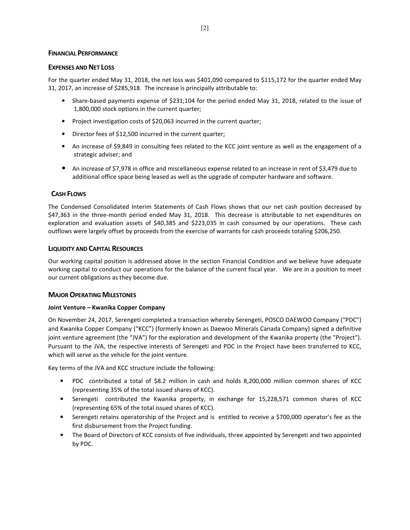#### **FINANCIAL PERFORMANCE**

#### **EXPENSES AND NET LOSS**

For the quarter ended May 31, 2018, the net loss was \$401,090 compared to \$115,172 for the quarter ended May 31, 2017, an increase of \$285,918. The increase is principally attributable to:

- Share-based payments expense of \$231,104 for the period ended May 31, 2018, related to the issue of 1,800,000 stock options in the current quarter;
- Project investigation costs of \$20,063 incurred in the current quarter;
- Director fees of \$12,500 incurred in the current quarter;
- An increase of \$9,849 in consulting fees related to the KCC joint venture as well as the engagement of a strategic adviser; and
- An increase of \$7,978 in office and miscellaneous expense related to an increase in rent of \$3,479 due to additional office space being leased as well as the upgrade of computer hardware and software.

# **CASH FLOWS**

The Condensed Consolidated Interim Statements of Cash Flows shows that our net cash position decreased by \$47,363 in the three-month period ended May 31, 2018. This decrease is attributable to net expenditures on exploration and evaluation assets of \$40,385 and \$223,035 in cash consumed by our operations. These cash outflows were largely offset by proceeds from the exercise of warrants for cash proceeds totaling \$206,250.

# **LIQUIDITY AND CAPITAL RESOURCES**

Our working capital position is addressed above in the section Financial Condition and we believe have adequate working capital to conduct our operations for the balance of the current fiscal year. We are in a position to meet our current obligations as they become due.

# **MAJOR OPERATING MILESTONES**

# **Joint Venture – Kwanika Copper Company**

On November 24, 2017, Serengeti completed a transaction whereby Serengeti, POSCO DAEWOO Company ("PDC") and Kwanika Copper Company ("KCC") (formerly known as Daewoo Minerals Canada Company) signed a definitive joint venture agreement (the "JVA") for the exploration and development of the Kwanika property (the "Project"). Pursuant to the JVA, the respective interests of Serengeti and PDC in the Project have been transferred to KCC, which will serve as the vehicle for the joint venture.

Key terms of the JVA and KCC structure include the following:

- PDC contributed a total of \$8.2 million in cash and holds 8,200,000 million common shares of KCC (representing 35% of the total issued shares of KCC).
- Serengeti contributed the Kwanika property, in exchange for 15,228,571 common shares of KCC (representing 65% of the total issued shares of KCC).
- Serengeti retains operatorship of the Project and is entitled to receive a \$700,000 operator's fee as the first disbursement from the Project funding.
- The Board of Directors of KCC consists of five individuals, three appointed by Serengeti and two appointed by PDC.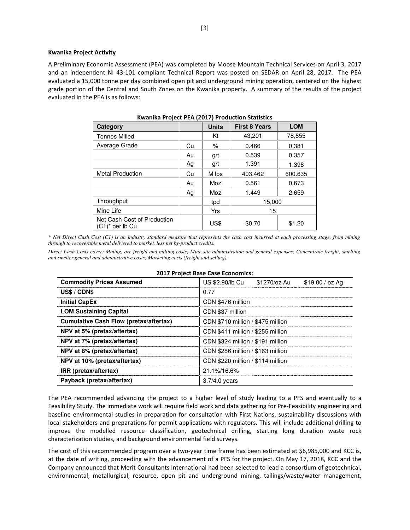#### **Kwanika Project Activity**

A Preliminary Economic Assessment (PEA) was completed by Moose Mountain Technical Services on April 3, 2017 and an independent NI 43-101 compliant Technical Report was posted on SEDAR on April 28, 2017. The PEA evaluated a 15,000 tonne per day combined open pit and underground mining operation, centered on the highest grade portion of the Central and South Zones on the Kwanika property. A summary of the results of the project evaluated in the PEA is as follows:

| Category                                          |    | <b>Units</b> | <b>First 8 Years</b> | <b>LOM</b> |
|---------------------------------------------------|----|--------------|----------------------|------------|
| <b>Tonnes Milled</b>                              |    | Κt           | 43,201               | 78,855     |
| Average Grade                                     | Cu | %            | 0.466                | 0.381      |
|                                                   | Au | g/t          | 0.539                | 0.357      |
|                                                   | Ag | g/t          | 1.391                | 1.398      |
| <b>Metal Production</b>                           | Cu | M lbs        | 403.462              | 600.635    |
|                                                   | Au | Moz          | 0.561                | 0.673      |
|                                                   | Ag | Moz          | 1.449                | 2.659      |
| Throughput                                        |    | tpd          | 15,000               |            |
| Mine Life                                         |    | Yrs          | 15                   |            |
| Net Cash Cost of Production<br>$(C1)^*$ per lb Cu |    | US\$         | \$0.70               | \$1.20     |

*\* Net Direct Cash Cost (C1) is an industry standard measure that represents the cash cost incurred at each processing stage, from mining through to recoverable metal delivered to market, less net by-product credits.* 

*Direct Cash Costs cover: Mining, ore freight and milling costs; Mine-site administration and general expenses; Concentrate freight, smelting and smelter general and administrative costs; Marketing costs (freight and selling).* 

| <b>Commodity Prices Assumed</b>               | US \$2.90/lb Cu<br>\$1270/oz Au<br>\$19.00 / oz Ag |  |  |  |  |  |
|-----------------------------------------------|----------------------------------------------------|--|--|--|--|--|
| US\$ / CDN\$                                  | 0.77                                               |  |  |  |  |  |
| <b>Initial CapEx</b>                          | CDN \$476 million                                  |  |  |  |  |  |
| <b>LOM Sustaining Capital</b>                 | CDN \$37 million                                   |  |  |  |  |  |
| <b>Cumulative Cash Flow (pretax/aftertax)</b> | CDN \$710 million / \$475 million                  |  |  |  |  |  |
| NPV at 5% (pretax/aftertax)                   | CDN \$411 million / \$255 million                  |  |  |  |  |  |
| NPV at 7% (pretax/aftertax)                   | CDN \$324 million / \$191 million                  |  |  |  |  |  |
| NPV at 8% (pretax/aftertax)                   | CDN \$286 million / \$163 million                  |  |  |  |  |  |
| NPV at 10% (pretax/aftertax)                  | CDN \$220 million / \$114 million                  |  |  |  |  |  |
| IRR (pretax/aftertax)                         | 21.1%/16.6%                                        |  |  |  |  |  |
| Payback (pretax/aftertax)                     | $3.7/4.0$ years                                    |  |  |  |  |  |

#### **2017 Project Base Case Economics:**

The PEA recommended advancing the project to a higher level of study leading to a PFS and eventually to a Feasibility Study. The immediate work will require field work and data gathering for Pre-Feasibility engineering and baseline environmental studies in preparation for consultation with First Nations, sustainability discussions with local stakeholders and preparations for permit applications with regulators. This will include additional drilling to improve the modelled resource classification, geotechnical drilling, starting long duration waste rock characterization studies, and background environmental field surveys.

The cost of this recommended program over a two-year time frame has been estimated at \$6,985,000 and KCC is, at the date of writing, proceeding with the advancement of a PFS for the project. On May 17, 2018, KCC and the Company announced that Merit Consultants International had been selected to lead a consortium of geotechnical, environmental, metallurgical, resource, open pit and underground mining, tailings/waste/water management,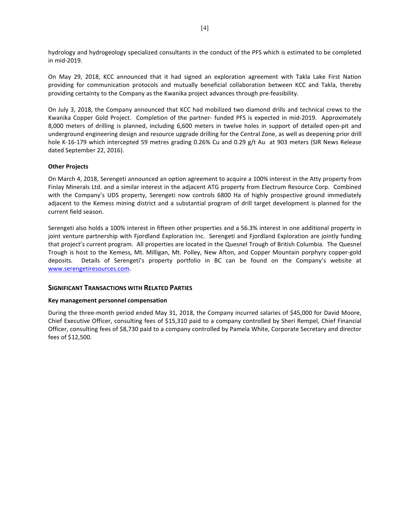hydrology and hydrogeology specialized consultants in the conduct of the PFS which is estimated to be completed in mid-2019.

On May 29, 2018, KCC announced that it had signed an exploration agreement with Takla Lake First Nation providing for communication protocols and mutually beneficial collaboration between KCC and Takla, thereby providing certainty to the Company as the Kwanika project advances through pre-feasibility.

On July 3, 2018, the Company announced that KCC had mobilized two diamond drills and technical crews to the Kwanika Copper Gold Project. Completion of the partner- funded PFS is expected in mid-2019. Approximately 8,000 meters of drilling is planned, including 6,600 meters in twelve holes in support of detailed open-pit and underground engineering design and resource upgrade drilling for the Central Zone, as well as deepening prior drill hole K-16-179 which intercepted 59 metres grading 0.26% Cu and 0.29 g/t Au at 903 meters (SIR News Release dated September 22, 2016).

#### **Other Projects**

On March 4, 2018, Serengeti announced an option agreement to acquire a 100% interest in the Atty property from Finlay Minerals Ltd. and a similar interest in the adjacent ATG property from Electrum Resource Corp. Combined with the Company's UDS property, Serengeti now controls 6800 Ha of highly prospective ground immediately adjacent to the Kemess mining district and a substantial program of drill target development is planned for the current field season.

Serengeti also holds a 100% interest in fifteen other properties and a 56.3% interest in one additional property in joint venture partnership with Fjordland Exploration Inc. Serengeti and Fjordland Exploration are jointly funding that project's current program. All properties are located in the Quesnel Trough of British Columbia. The Quesnel Trough is host to the Kemess, Mt. Milligan, Mt. Polley, New Afton, and Copper Mountain porphyry copper-gold deposits. Details of Serengeti's property portfolio in BC can be found on the Company's website at www.serengetiresources.com.

# **SIGNIFICANT TRANSACTIONS WITH RELATED PARTIES**

# **Key management personnel compensation**

During the three-month period ended May 31, 2018, the Company incurred salaries of \$45,000 for David Moore, Chief Executive Officer, consulting fees of \$15,310 paid to a company controlled by Sheri Rempel, Chief Financial Officer, consulting fees of \$8,730 paid to a company controlled by Pamela White, Corporate Secretary and director fees of \$12,500.